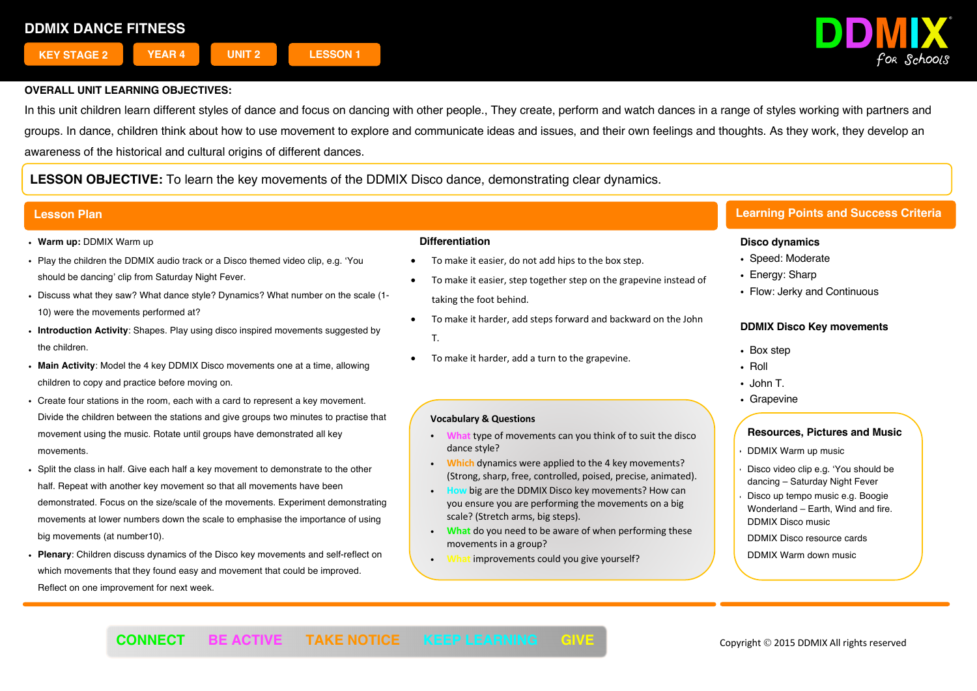

In this unit children learn different styles of dance and focus on dancing with other people., They create, perform and watch dances in a range of styles working with partners and groups. In dance, children think about how to use movement to explore and communicate ideas and issues, and their own feelings and thoughts. As they work, they develop an awareness of the historical and cultural origins of different dances.

**LESSON OBJECTIVE:** To learn the key movements of the DDMIX Disco dance, demonstrating clear dynamics.

- ! **Warm up:** DDMIX Warm up
- ! Play the children the DDMIX audio track or a Disco themed video clip, e.g. 'You should be dancing' clip from Saturday Night Fever.
- ! Discuss what they saw? What dance style? Dynamics? What number on the scale (1- 10) were the movements performed at?
- ! **Introduction Activity**: Shapes. Play using disco inspired movements suggested by the children.
- ! **Main Activity**: Model the 4 key DDMIX Disco movements one at a time, allowing children to copy and practice before moving on.
- ! Create four stations in the room, each with a card to represent a key movement. Divide the children between the stations and give groups two minutes to practise that movement using the music. Rotate until groups have demonstrated all key movements.
- . Split the class in half. Give each half a key movement to demonstrate to the other half. Repeat with another key movement so that all movements have been demonstrated. Focus on the size/scale of the movements. Experiment demonstrating movements at lower numbers down the scale to emphasise the importance of using big movements (at number10).
- **Plenary:** Children discuss dynamics of the Disco key movements and self-reflect on which movements that they found easy and movement that could be improved. Reflect on one improvement for next week.

### **Differentiation**

- To make it easier, do not add hips to the box step.
- To make it easier, step together step on the grapevine instead of taking the foot behind.
- To make it harder, add steps forward and backward on the John T.
- To make it harder, add a turn to the grapevine.

### **Vocabulary & Questions**

- ! **What** type of movements can you think of to suit the disco dance style?
- ! **Which** dynamics were applied to the 4 key movements? (Strong, sharp, free, controlled, poised, precise, animated).
- ! **How** big are the DDMIX Disco key movements? How can you ensure you are performing the movements on a big scale? (Stretch arms, big steps).
- ! **What** do you need to be aware of when performing these movements in a group?

Ī

! **What** improvements could you give yourself?

# **Lesson Plan Learning Points and Success Criteria**

## **Disco dynamics**

- Speed: Moderate
- Energy: Sharp
- Flow: Jerky and Continuous

# **DDMIX Disco Key movements**

- Box step
- Roll
- $\cdot$  John T.
- Grapevine

- ! DDMIX Warm up music
- Disco video clip e.g. 'You should be dancing – Saturday Night Fever Disco up tempo music e.g. Boogie Wonderland – Earth, Wind and fire. DDMIX Disco music
- DDMIX Disco resource cards
- DDMIX Warm down music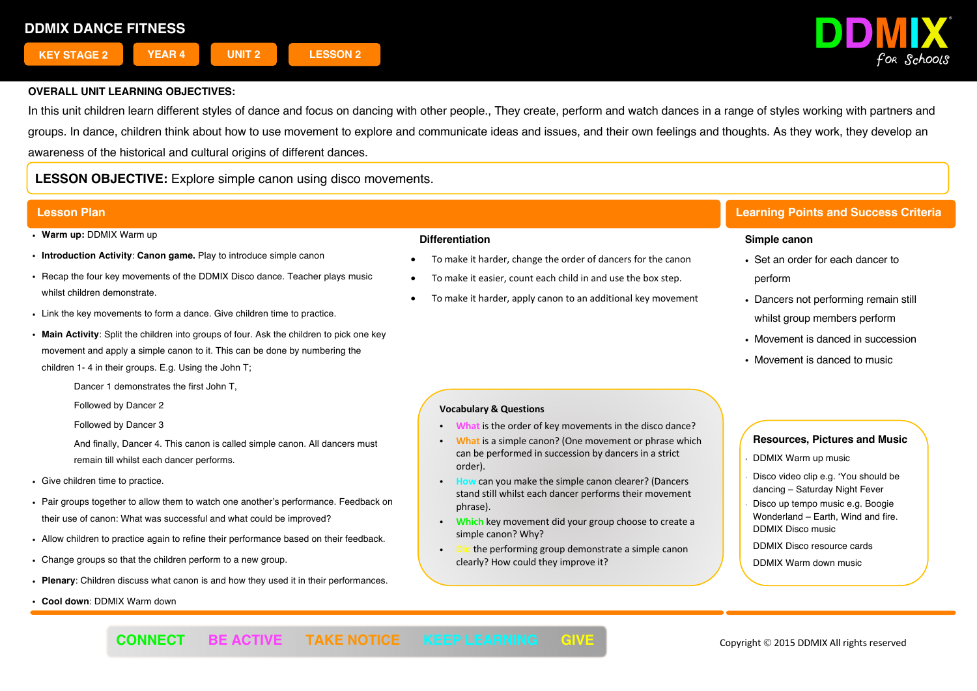

In this unit children learn different styles of dance and focus on dancing with other people.. They create, perform and watch dances in a range of styles working with partners and groups. In dance, children think about how to use movement to explore and communicate ideas and issues, and their own feelings and thoughts. As they work, they develop an awareness of the historical and cultural origins of different dances.

**LESSON OBJECTIVE:** Explore simple canon using disco movements.

- ! **Warm up:** DDMIX Warm up
- ! **Introduction Activity**: **Canon game.** Play to introduce simple canon
- . Recap the four key movements of the DDMIX Disco dance. Teacher plays music whilst children demonstrate.
- . Link the key movements to form a dance. Give children time to practice.
- ! **Main Activity**: Split the children into groups of four. Ask the children to pick one key movement and apply a simple canon to it. This can be done by numbering the children 1- 4 in their groups. E.g. Using the John T;

Dancer 1 demonstrates the first John T,

Followed by Dancer 2

Followed by Dancer 3

And finally, Dancer 4. This canon is called simple canon. All dancers must remain till whilst each dancer performs.

- Give children time to practice.
- ! Pair groups together to allow them to watch one another's performance. Feedback on their use of canon: What was successful and what could be improved?
- ! Allow children to practice again to refine their performance based on their feedback.
- . Change groups so that the children perform to a new group.
- ! **Plenary**: Children discuss what canon is and how they used it in their performances.
- ! **Cool down**: DDMIX Warm down

#### **Differentiation**

- To make it harder, change the order of dancers for the canon
- To make it easier, count each child in and use the box step.
- To make it harder, apply canon to an additional key movement

# **Lesson Plan Learning Points and Success Criteria**

### **Simple canon**

- Set an order for each dancer to perform
- . Dancers not performing remain still whilst group members perform
- Movement is danced in succession
- . Movement is danced to music

### **Vocabulary & Questions**

- ! **What** is the order of key movements in the disco dance?
- **What** is a simple canon? (One movement or phrase which can be performed in succession by dancers in a strict order).
- **Can you make the simple canon clearer? (Dancers** stand still whilst each dancer performs their movement phrase).
- ! **Which** key movement did your group choose to create a simple canon? Why?
- the performing group demonstrate a simple canon clearly? How could they improve it?

I

- ! DDMIX Warm up music
- Disco video clip e.g. 'You should be dancing – Saturday Night Fever
- Disco up tempo music e.g. Boogie Wonderland – Earth, Wind and fire. DDMIX Disco music
- DDMIX Disco resource cards
- DDMIX Warm down music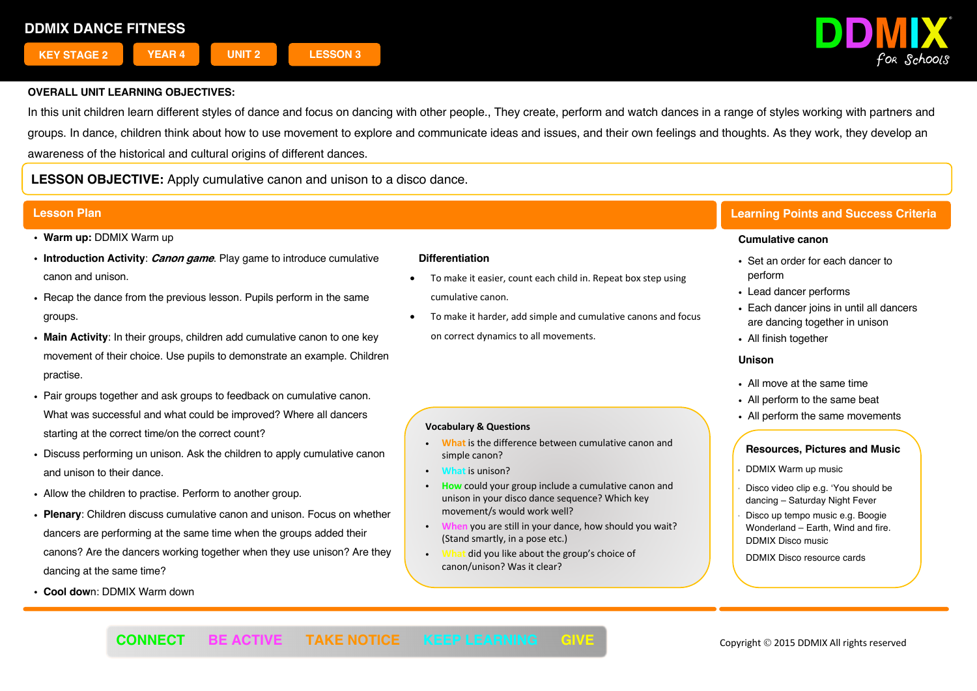

In this unit children learn different styles of dance and focus on dancing with other people. They create, perform and watch dances in a range of styles working with partners and groups. In dance, children think about how to use movement to explore and communicate ideas and issues, and their own feelings and thoughts. As they work, they develop an awareness of the historical and cultural origins of different dances.

**LESSON OBJECTIVE:** Apply cumulative canon and unison to a disco dance.

- ! **Warm up:** DDMIX Warm up
- ! **Introduction Activity**: **Canon game**. Play game to introduce cumulative canon and unison.
- ! Recap the dance from the previous lesson*.* Pupils perform in the same groups.
- ! **Main Activity**: In their groups, children add cumulative canon to one key movement of their choice. Use pupils to demonstrate an example. Children practise.
- . Pair groups together and ask groups to feedback on cumulative canon. What was successful and what could be improved? Where all dancers starting at the correct time/on the correct count?
- . Discuss performing un unison. Ask the children to apply cumulative canon and unison to their dance.
- . Allow the children to practise. Perform to another group.
- ! **Plenary**: Children discuss cumulative canon and unison. Focus on whether dancers are performing at the same time when the groups added their canons? Are the dancers working together when they use unison? Are they dancing at the same time?
- ! **Cool dow**n: DDMIX Warm down

### **Differentiation**

- To make it easier, count each child in. Repeat box step using cumulative canon.
- To make it harder, add simple and cumulative canons and focus on correct dynamics to all movements.

### **Vocabulary & Questions**

- ! **What** is the difference between cumulative canon and simple canon?
- **What** is unison?
- ! **How** could your group include a cumulative canon and unison in your disco dance sequence? Which key movement/s would work well?
- ! **When** you are still in your dance, how should you wait? (Stand smartly, in a pose etc.)

I

did you like about the group's choice of canon/unison? Was it clear?

# **Lesson Plan Learning Points and Success Criteria**

#### **Cumulative canon**

- ! Set an order for each dancer to perform
- Lead dancer performs
- Each dancer joins in until all dancers are dancing together in unison
- All finish together

#### **Unison**

- . All move at the same time
- All perform to the same beat
- All perform the same movements

- ! DDMIX Warm up music
- Disco video clip e.g. 'You should be dancing – Saturday Night Fever
- Disco up tempo music e.g. Boogie Wonderland – Earth, Wind and fire. DDMIX Disco music
- DDMIX Disco resource cards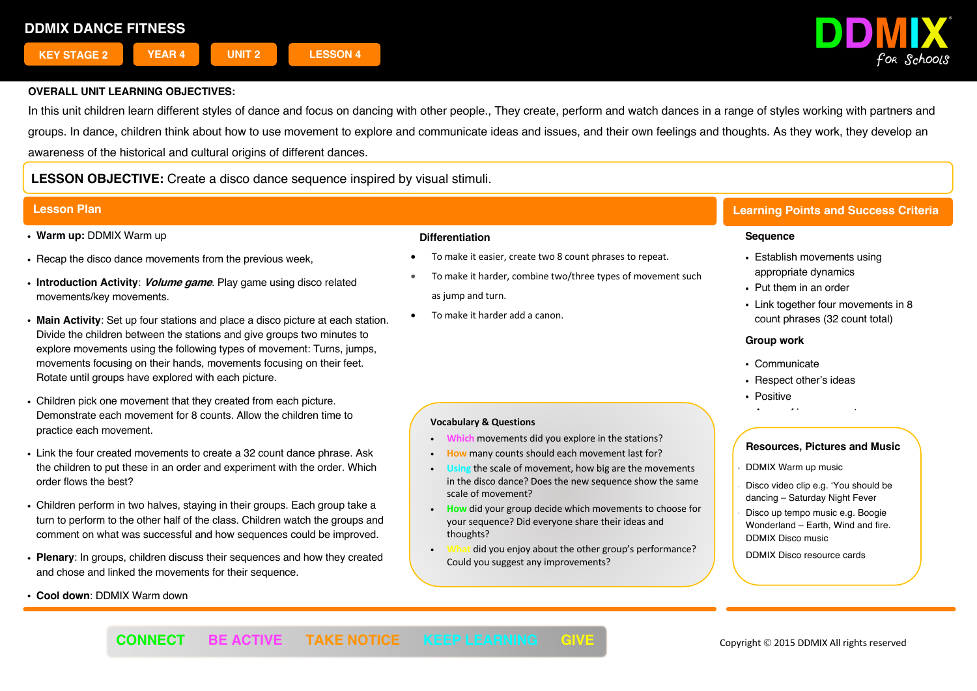

In this unit children learn different styles of dance and focus on dancing with other people.. They create, perform and watch dances in a range of styles working with partners and groups. In dance, children think about how to use movement to explore and communicate ideas and issues, and their own feelings and thoughts. As they work, they develop an awareness of the historical and cultural origins of different dances.

**LESSON OBJECTIVE:** Create a disco dance sequence inspired by visual stimuli.

- ! **Warm up:** DDMIX Warm up
- . Recap the disco dance movements from the previous week,
- ! **Introduction Activity**: **Volume game**. Play game using disco related movements/key movements.
- ! **Main Activity**: Set up four stations and place a disco picture at each station. Divide the children between the stations and give groups two minutes to explore movements using the following types of movement: Turns, jumps, movements focusing on their hands, movements focusing on their feet. Rotate until groups have explored with each picture.
- . Children pick one movement that they created from each picture. Demonstrate each movement for 8 counts. Allow the children time to practice each movement.
- . Link the four created movements to create a 32 count dance phrase. Ask the children to put these in an order and experiment with the order. Which order flows the best?
- . Children perform in two halves, staying in their groups. Each group take a turn to perform to the other half of the class. Children watch the groups and comment on what was successful and how sequences could be improved.
- ! **Plenary**: In groups, children discuss their sequences and how they created and chose and linked the movements for their sequence.
- ! **Cool down**: DDMIX Warm down

#### **Differentiation**

- To make it easier, create two 8 count phrases to repeat.
- To make it harder, combine two/three types of movement such as jump and turn.
- To make it harder add a canon.

### **Vocabulary & Questions**

- ! **Which** movements did you explore in the stations?
- How many counts should each movement last for?
- **the scale of movement, how big are the movements** in the disco dance? Does the new sequence show the same scale of movement?
- ! **How** did your group decide which movements to choose for your sequence? Did everyone share their ideas and thoughts?
- did you enjoy about the other group's performance? Could you suggest any improvements?

I

# **Lesson Plan Learning Points and Success Criteria**

### **Sequence**

- Establish movements using appropriate dynamics
- Put them in an order
- . Link together four movements in 8 count phrases (32 count total)

### **Group work**

- Communicate
- Respect other's ideas

! Areas of improvement

• Positive

- ! DDMIX Warm up music
- Disco video clip e.g. 'You should be dancing – Saturday Night Fever
- Disco up tempo music e.g. Boogie Wonderland – Earth, Wind and fire. DDMIX Disco music
- DDMIX Disco resource cards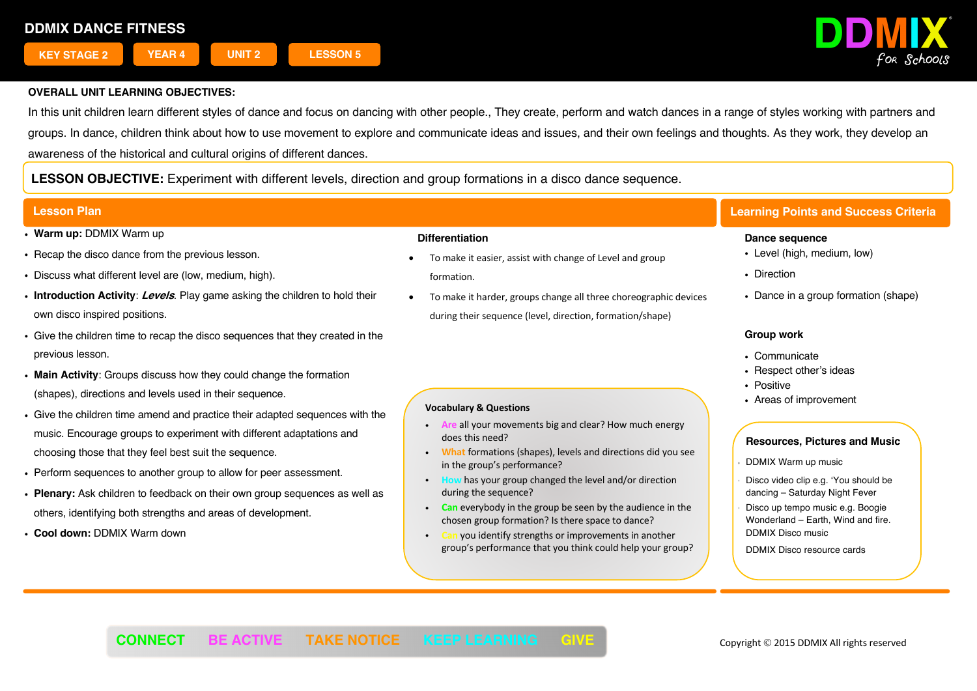

In this unit children learn different styles of dance and focus on dancing with other people.. They create, perform and watch dances in a range of styles working with partners and groups. In dance, children think about how to use movement to explore and communicate ideas and issues, and their own feelings and thoughts. As they work, they develop an awareness of the historical and cultural origins of different dances.

**LESSON OBJECTIVE:** Experiment with different levels, direction and group formations in a disco dance sequence.

- ! **Warm up:** DDMIX Warm up
- . Recap the disco dance from the previous lesson.
- . Discuss what different level are (low, medium, high).
- ! **Introduction Activity**: **Levels**. Play game asking the children to hold their own disco inspired positions.
- ! Give the children time to recap the disco sequences that they created in the previous lesson.
- ! **Main Activity**: Groups discuss how they could change the formation (shapes), directions and levels used in their sequence.
- ! Give the children time amend and practice their adapted sequences with the music. Encourage groups to experiment with different adaptations and choosing those that they feel best suit the sequence.
- ! Perform sequences to another group to allow for peer assessment.
- ! **Plenary:** Ask children to feedback on their own group sequences as well as others, identifying both strengths and areas of development.
- ! **Cool down:** DDMIX Warm down

#### **Differentiation**

- To make it easier, assist with change of Level and group formation.
- To make it harder, groups change all three choreographic devices during their sequence (level, direction, formation/shape)

### **Vocabulary & Questions**

- ! **Are** all your movements big and clear? How much energy does this need?
- ! **What** formations (shapes), levels and directions did you see in the group's performance?
- ! **How** has your group changed the level and/or direction during the sequence?
- ! **Can** everybody in the group be seen by the audience in the chosen group formation? Is there space to dance?
- **vou identify strengths or improvements in another** group's performance that you think could help your group?

# **Lesson Plan Learning Points and Success Criteria**

### **Dance sequence**

- Level (high, medium, low)
- Direction
- Dance in a group formation (shape)

## **Group work**

- ! Communicate
- Respect other's ideas
- . Positive
- Areas of improvement

# **Resources, Pictures and Music**

- ! DDMIX Warm up music
- Disco video clip e.g. 'You should be dancing – Saturday Night Fever
- Disco up tempo music e.g. Boogie Wonderland – Earth, Wind and fire. DDMIX Disco music
- DDMIX Disco resource cards

Ī